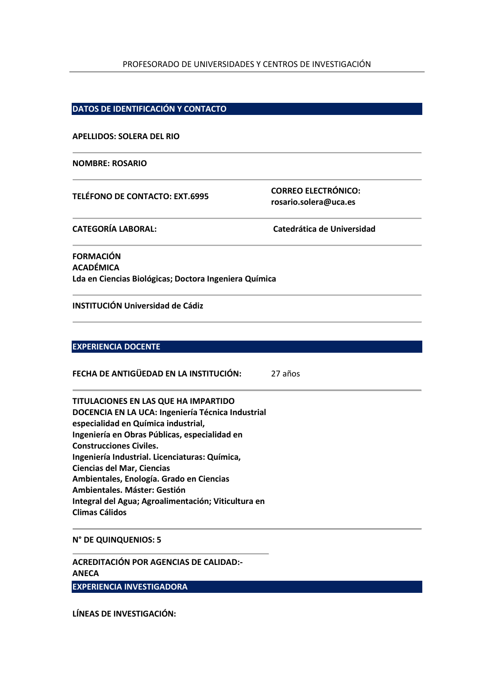#### PROFESORADO DE UNIVERSIDADES Y CENTROS DE INVESTIGACIÓN

#### **DATOS DE IDENTIFICACIÓN Y CONTACTO**

#### **APELLIDOS: SOLERA DEL RIO**

#### **NOMBRE: ROSARIO**

**TELÉFONO DE CONTACTO: EXT.6995 CORREO ELECTRÓNICO: rosario.solera@uca.es**

**CATEGORÍA LABORAL: Catedrática de Universidad**

**FORMACIÓN ACADÉMICA Lda en Ciencias Biológicas; Doctora Ingeniera Química**

**INSTITUCIÓN Universidad de Cádiz**

### **EXPERIENCIA DOCENTE**

**FECHA DE ANTIGÜEDAD EN LA INSTITUCIÓN:** 27 años

**TITULACIONES EN LAS QUE HA IMPARTIDO DOCENCIA EN LA UCA: Ingeniería Técnica Industrial especialidad en Química industrial, Ingeniería en Obras Públicas, especialidad en Construcciones Civiles. Ingeniería Industrial. Licenciaturas: Química, Ciencias del Mar, Ciencias Ambientales, Enología. Grado en Ciencias Ambientales. Máster: Gestión Integral del Agua; Agroalimentación; Viticultura en Climas Cálidos**

#### **N° DE QUINQUENIOS: 5**

**ACREDITACIÓN POR AGENCIAS DE CALIDAD:- ANECA EXPERIENCIA INVESTIGADORA**

**LÍNEAS DE INVESTIGACIÓN:**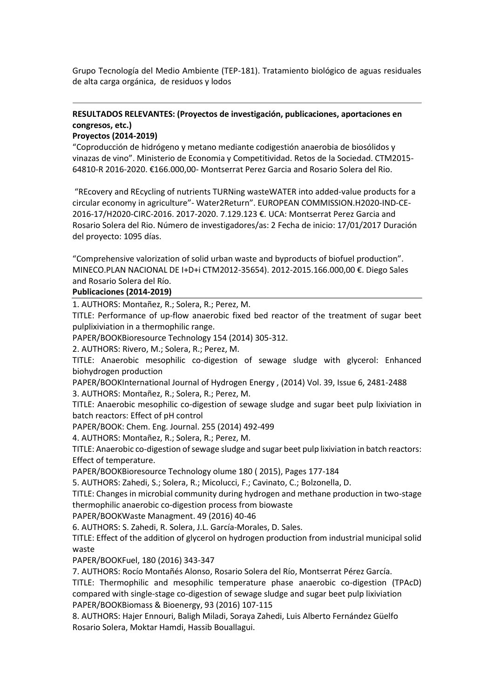Grupo Tecnología del Medio Ambiente (TEP-181). Tratamiento biológico de aguas residuales de alta carga orgánica, de residuos y lodos

# **RESULTADOS RELEVANTES: (Proyectos de investigación, publicaciones, aportaciones en congresos, etc.)**

# **Proyectos (2014-2019)**

"Coproducción de hidrógeno y metano mediante codigestión anaerobia de biosólidos y vinazas de vino". Ministerio de Economia y Competitividad. Retos de la Sociedad. CTM2015- 64810-R 2016-2020. €166.000,00- Montserrat Perez Garcia and Rosario Solera del Rio.

"REcovery and REcycling of nutrients TURNing wasteWATER into added-value products for a circular economy in agriculture"- Water2Return". EUROPEAN COMMISSION.H2020-IND-CE-2016-17/H2020-CIRC-2016. 2017-2020. 7.129.123 €. UCA: Montserrat Perez Garcia and Rosario Solera del Rio. Número de investigadores/as: 2 Fecha de inicio: 17/01/2017 Duración del proyecto: 1095 días.

"Comprehensive valorization of solid urban waste and byproducts of biofuel production". MINECO.PLAN NACIONAL DE I+D+i CTM2012-35654). 2012-2015.166.000,00 €. Diego Sales and Rosario Solera del Río.

#### **Publicaciones (2014-2019)**

1. AUTHORS: Montañez, R.; Solera, R.; Perez, M.

TITLE: Performance of up-flow anaerobic fixed bed reactor of the treatment of sugar beet pulplixiviation in a thermophilic range.

PAPER/BOOKBioresource Technology 154 (2014) 305-312.

2. AUTHORS: Rivero, M.; Solera, R.; Perez, M.

TITLE: Anaerobic mesophilic co-digestion of sewage sludge with glycerol: Enhanced biohydrogen production

PAPER/BOOKInternational Journal of Hydrogen Energy , (2014) Vol. 39, Issue 6, 2481-2488 3. AUTHORS: Montañez, R.; Solera, R.; Perez, M.

TITLE: Anaerobic mesophilic co-digestion of sewage sludge and sugar beet pulp lixiviation in batch reactors: Effect of pH control

PAPER/BOOK: Chem. Eng. Journal. 255 (2014) 492-499

4. AUTHORS: Montañez, R.; Solera, R.; Perez, M.

TITLE: Anaerobic co-digestion of sewage sludge and sugar beet pulp lixiviation in batch reactors: Effect of temperature.

PAPER/BOOKBioresource Technology olume 180 ( 2015), Pages 177-184

5. AUTHORS: Zahedi, S.; Solera, R.; Micolucci, F.; Cavinato, C.; Bolzonella, D.

TITLE: Changes in microbial community during hydrogen and methane production in two-stage thermophilic anaerobic co-digestion process from biowaste

PAPER/BOOKWaste Managment. 49 (2016) 40-46

6. AUTHORS: S. Zahedi, R. Solera, J.L. García-Morales, D. Sales.

TITLE: Effect of the addition of glycerol on hydrogen production from industrial municipal solid waste

PAPER/BOOKFuel, 180 (2016) 343-347

7. AUTHORS: Rocío Montañés Alonso, Rosario Solera del Río, Montserrat Pérez García.

TITLE: Thermophilic and mesophilic temperature phase anaerobic co-digestion (TPAcD) compared with single-stage co-digestion of sewage sludge and sugar beet pulp lixiviation PAPER/BOOKBiomass & Bioenergy, 93 (2016) 107-115

8. AUTHORS: Hajer Ennouri, Baligh Miladi, Soraya Zahedi, Luis Alberto Fernández Güelfo Rosario Solera, Moktar Hamdi, Hassib Bouallagui.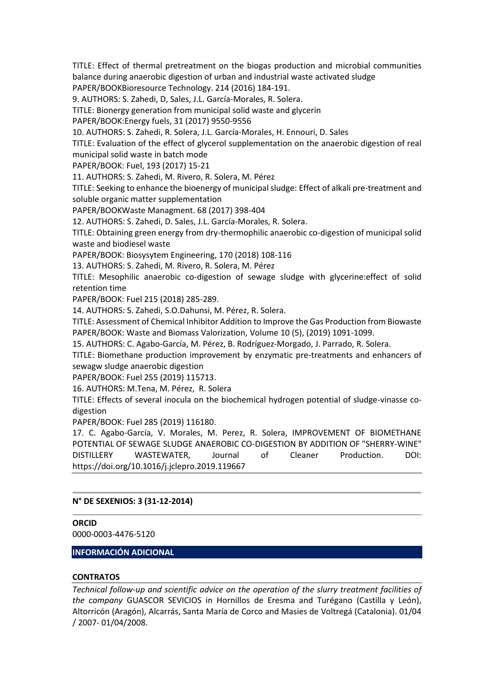TITLE: Effect of thermal pretreatment on the biogas production and microbial communities balance during anaerobic digestion of urban and industrial waste activated sludge

PAPER/BOOKBioresource Technology. 214 (2016) 184-191.

9. AUTHORS: S. Zahedi, D, Sales, J.L. García-Morales, R. Solera.

TITLE: Bionergy generation from municipal solid waste and glycerin

PAPER/BOOK:Energy fuels, 31 (2017) 9550-9556

10. AUTHORS: S. Zahedi, R. Solera, J.L. García-Morales, H. Ennouri, D. Sales

TITLE: Evaluation of the effect of glycerol supplementation on the anaerobic digestion of real municipal solid waste in batch mode

PAPER/BOOK: Fuel, 193 (2017) 15-21

11. AUTHORS: S. Zahedi, M. Rivero, R. Solera, M. Pérez

TITLE: Seeking to enhance the bioenergy of municipal sludge: Effect of alkali pre-treatment and soluble organic matter supplementation

PAPER/BOOKWaste Managment. 68 (2017) 398-404

12. AUTHORS: S. Zahedi, D. Sales, J.L. García-Morales, R. Solera.

TITLE: Obtaining green energy from dry-thermophilic anaerobic co-digestion of municipal solid waste and biodiesel waste

PAPER/BOOK: Biosysytem Engineering, 170 (2018) 108-116

13. AUTHORS: S. Zahedi, M. Rivero, R. Solera, M. Pérez

TITLE: Mesophilic anaerobic co-digestion of sewage sludge with glycerine:effect of solid retention time

PAPER/BOOK: Fuel 215 (2018) 285-289.

14. AUTHORS: S. Zahedi, S.O.Dahunsi, M. Pérez, R. Solera.

TITLE: Assessment of Chemical Inhibitor Addition to Improve the Gas Production from Biowaste PAPER/BOOK: Waste and Biomass Valorization, Volume 10 (5), (2019) 1091-1099.

15. AUTHORS: C. Agabo-García, M. Pérez, B. Rodríguez-Morgado, J. Parrado, R. Solera.

TITLE: Biomethane production improvement by enzymatic pre-treatments and enhancers of sewagw sludge anaerobic digestion

PAPER/BOOK: Fuel 255 (2019) 115713.

16. AUTHORS: M.Tena, M. Pérez, R. Solera

TITLE: Effects of several inocula on the biochemical hydrogen potential of sludge-vinasse codigestion

PAPER/BOOK: Fuel 285 (2019) 116180.

17. C. Agabo-García, V. Morales, M. Perez, R. Solera, IMPROVEMENT OF BIOMETHANE POTENTIAL OF SEWAGE SLUDGE ANAEROBIC CO-DIGESTION BY ADDITION OF "SHERRY-WINE" DISTILLERY WASTEWATER, Journal of Cleaner Production. DOI: https://doi.org/10.1016/j.jclepro.2019.119667

### **N° DE SEXENIOS: 3 (31-12-2014)**

# **ORCID**

0000-0003-4476-5120

**INFORMACIÓN ADICIONAL**

#### **CONTRATOS**

*Technical follow-up and scientific advice on the operation of the slurry treatment facilities of the company* GUASCOR SEVICIOS in Hornillos de Eresma and Turégano (Castilla y León), Altorricón (Aragón), Alcarrás, Santa María de Corco and Masies de Voltregá (Catalonia). 01/04 / 2007- 01/04/2008.